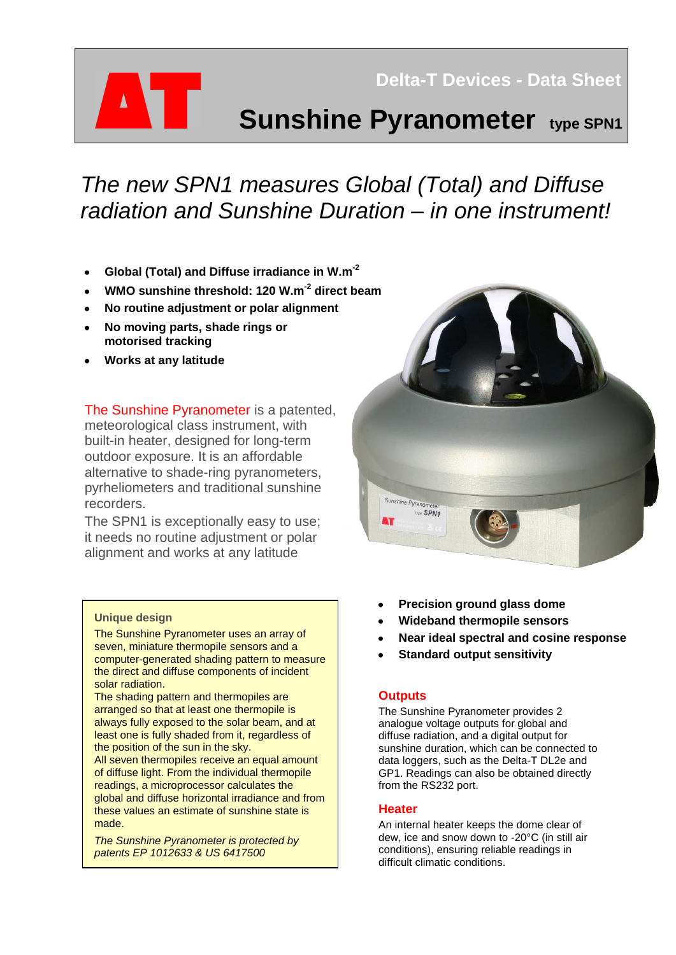# **Sunshine Pyranometer type SPN1**

 **Delta-T Devices - Data Sheet** 

## *The new SPN1 measures Global (Total) and Diffuse radiation and Sunshine Duration – in one instrument!*

- **Global (Total) and Diffuse irradiance in W.m-2**  $\bullet$
- **WMO sunshine threshold: 120 W.m-2 direct beam**
- **No routine adjustment or polar alignment**
- **No moving parts, shade rings or motorised tracking**
- **Works at any latitude**

The Sunshine Pyranometer is a patented, meteorological class instrument, with built-in heater, designed for long-term outdoor exposure. It is an affordable alternative to shade-ring pyranometers, pyrheliometers and traditional sunshine recorders.

The SPN1 is exceptionally easy to use; it needs no routine adjustment or polar alignment and works at any latitude

#### **Unique design**

The Sunshine Pyranometer uses an array of seven, miniature thermopile sensors and a computer-generated shading pattern to measure the direct and diffuse components of incident solar radiation.

The shading pattern and thermopiles are arranged so that at least one thermopile is always fully exposed to the solar beam, and at least one is fully shaded from it, regardless of the position of the sun in the sky.

All seven thermopiles receive an equal amount of diffuse light. From the individual thermopile readings, a microprocessor calculates the global and diffuse horizontal irradiance and from these values an estimate of sunshine state is made.

*The Sunshine Pyranometer is protected by patents EP 1012633 & US 6417500*



- **Precision ground glass dome**
- **Wideband thermopile sensors**
- **Near ideal spectral and cosine response**
- **Standard output sensitivity**

#### **Outputs**

The Sunshine Pyranometer provides 2 analogue voltage outputs for global and diffuse radiation, and a digital output for sunshine duration, which can be connected to data loggers, such as the Delta-T DL2e and GP1. Readings can also be obtained directly from the RS232 port.

#### **Heater**

An internal heater keeps the dome clear of dew, ice and snow down to -20°C (in still air conditions), ensuring reliable readings in difficult climatic conditions.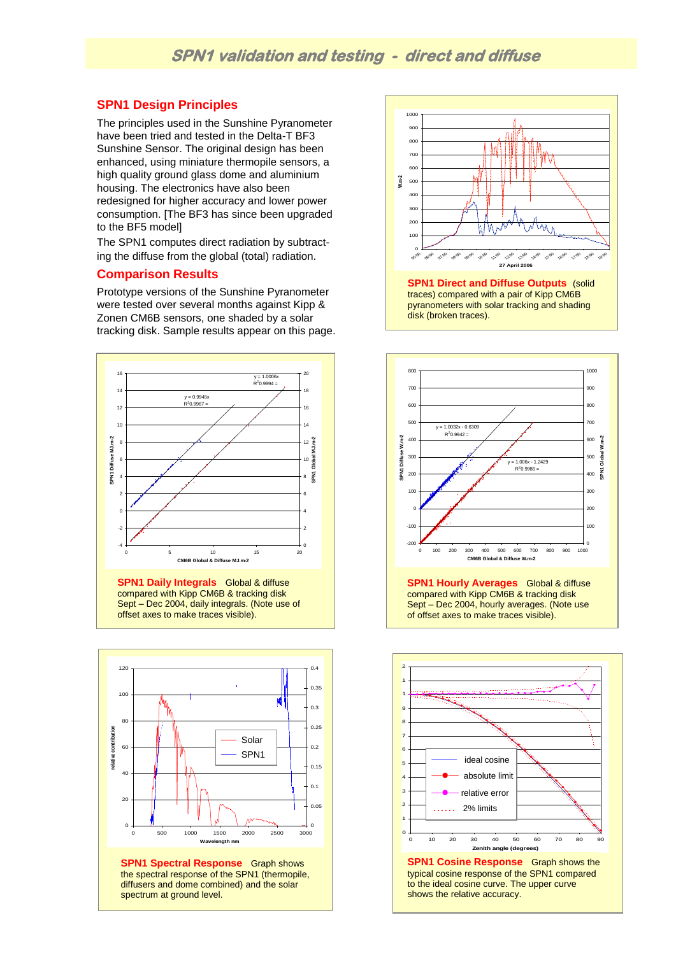#### **SPN1 Design Principles**

The principles used in the Sunshine Pyranometer have been tried and tested in the Delta-T BF3 Sunshine Sensor. The original design has been enhanced, using miniature thermopile sensors, a high quality ground glass dome and aluminium housing. The electronics have also been redesigned for higher accuracy and lower power consumption. [The BF3 has since been upgraded to the BF5 model]

The SPN1 computes direct radiation by subtracting the diffuse from the global (total) radiation.

#### **Comparison Results**

Prototype versions of the Sunshine Pyranometer were tested over several months against Kipp & Zonen CM6B sensors, one shaded by a solar tracking disk. Sample results appear on this page.



**SPN1 Daily Integrals** Global & diffuse compared with Kipp CM6B & tracking disk Sept – Dec 2004, daily integrals. (Note use of offset axes to make traces visible).



**SPN1 Spectral Response** Graph shows the spectral response of the SPN1 (thermopile, diffusers and dome combined) and the solar spectrum at ground level.



traces) compared with a pair of Kipp CM6B pyranometers with solar tracking and shading disk (broken traces).



**SPN1 Hourly Averages** Global & diffuse compared with Kipp CM6B & tracking disk Sept – Dec 2004, hourly averages. (Note use of offset axes to make traces visible).

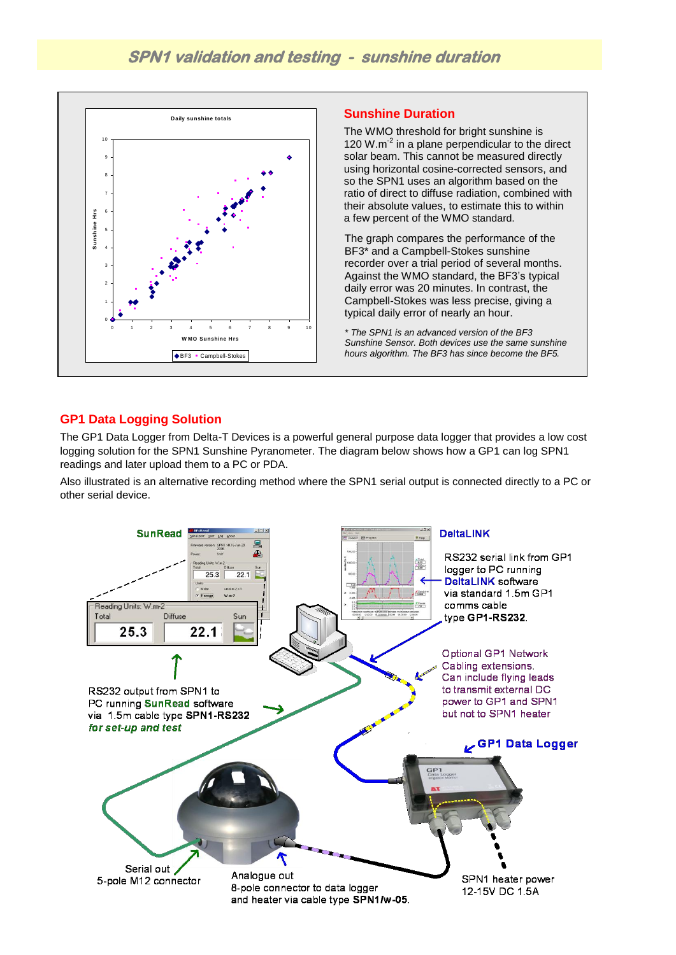

#### **Sunshine Duration**

The WMO threshold for bright sunshine is 120 W.m<sup>-2</sup> in a plane perpendicular to the direct solar beam. This cannot be measured directly using horizontal cosine-corrected sensors, and so the SPN1 uses an algorithm based on the ratio of direct to diffuse radiation, combined with their absolute values, to estimate this to within a few percent of the WMO standard.

The graph compares the performance of the BF3\* and a Campbell-Stokes sunshine recorder over a trial period of several months. Against the WMO standard, the BF3's typical daily error was 20 minutes. In contrast, the Campbell-Stokes was less precise, giving a typical daily error of nearly an hour.

*\* The SPN1 is an advanced version of the BF3 Sunshine Sensor. Both devices use the same sunshine hours algorithm. The BF3 has since become the BF5.*

#### **GP1 Data Logging Solution**

The GP1 Data Logger from Delta-T Devices is a powerful general purpose data logger that provides a low cost logging solution for the SPN1 Sunshine Pyranometer. The diagram below shows how a GP1 can log SPN1 readings and later upload them to a PC or PDA.

Also illustrated is an alternative recording method where the SPN1 serial output is connected directly to a PC or other serial device.